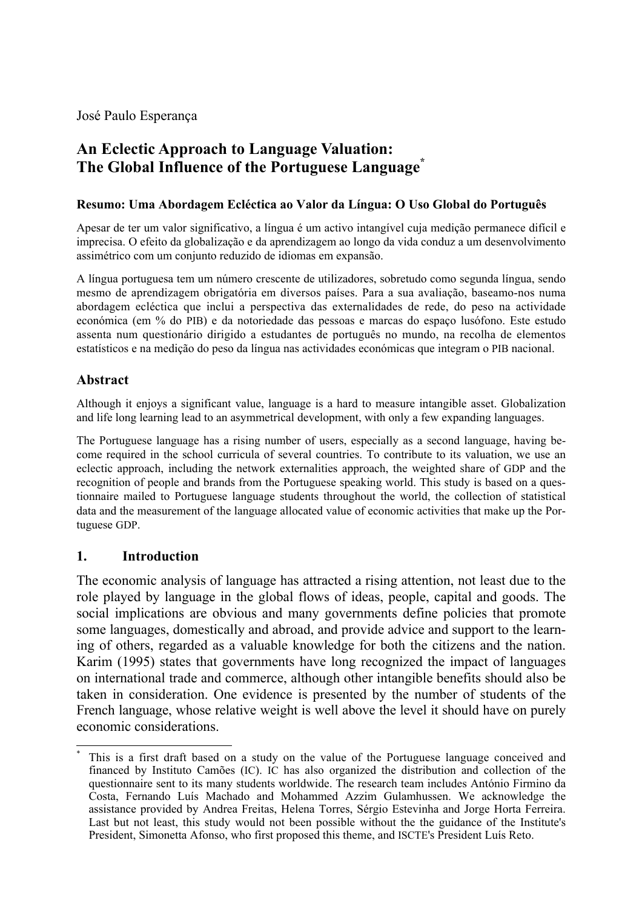José Paulo Esperança

# **An Eclectic Approach to Language Valuation: The Global Influence of the Portuguese Language\***

#### **Resumo: Uma Abordagem Ecléctica ao Valor da Língua: O Uso Global do Português**

Apesar de ter um valor significativo, a língua é um activo intangível cuja medição permanece difícil e imprecisa. O efeito da globalização e da aprendizagem ao longo da vida conduz a um desenvolvimento assimétrico com um conjunto reduzido de idiomas em expansão.

A língua portuguesa tem um número crescente de utilizadores, sobretudo como segunda língua, sendo mesmo de aprendizagem obrigatória em diversos países. Para a sua avaliação, baseamo-nos numa abordagem ecléctica que inclui a perspectiva das externalidades de rede, do peso na actividade económica (em % do PIB) e da notoriedade das pessoas e marcas do espaço lusófono. Este estudo assenta num questionário dirigido a estudantes de português no mundo, na recolha de elementos estatísticos e na medição do peso da língua nas actividades económicas que integram o PIB nacional.

### **Abstract**

Although it enjoys a significant value, language is a hard to measure intangible asset. Globalization and life long learning lead to an asymmetrical development, with only a few expanding languages.

The Portuguese language has a rising number of users, especially as a second language, having become required in the school curricula of several countries. To contribute to its valuation, we use an eclectic approach, including the network externalities approach, the weighted share of GDP and the recognition of people and brands from the Portuguese speaking world. This study is based on a questionnaire mailed to Portuguese language students throughout the world, the collection of statistical data and the measurement of the language allocated value of economic activities that make up the Portuguese GDP.

#### **1. Introduction**

 $\overline{a}$ 

The economic analysis of language has attracted a rising attention, not least due to the role played by language in the global flows of ideas, people, capital and goods. The social implications are obvious and many governments define policies that promote some languages, domestically and abroad, and provide advice and support to the learning of others, regarded as a valuable knowledge for both the citizens and the nation. Karim (1995) states that governments have long recognized the impact of languages on international trade and commerce, although other intangible benefits should also be taken in consideration. One evidence is presented by the number of students of the French language, whose relative weight is well above the level it should have on purely economic considerations.

<sup>\*</sup> This is a first draft based on a study on the value of the Portuguese language conceived and financed by Instituto Camões (IC). IC has also organized the distribution and collection of the questionnaire sent to its many students worldwide. The research team includes António Firmino da Costa, Fernando Luís Machado and Mohammed Azzim Gulamhussen. We acknowledge the assistance provided by Andrea Freitas, Helena Torres, Sérgio Estevinha and Jorge Horta Ferreira. Last but not least, this study would not been possible without the the guidance of the Institute's President, Simonetta Afonso, who first proposed this theme, and ISCTE's President Luís Reto.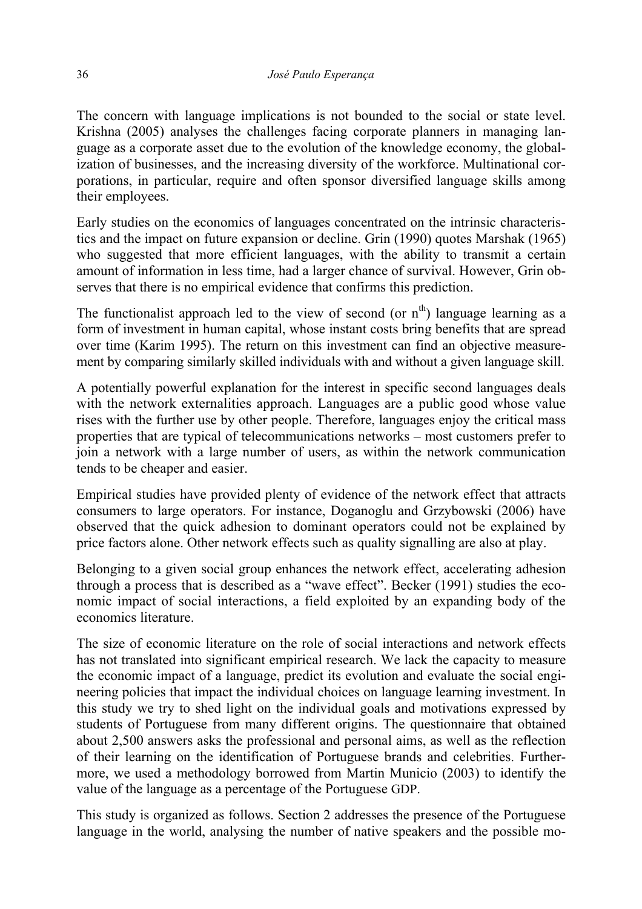The concern with language implications is not bounded to the social or state level. Krishna (2005) analyses the challenges facing corporate planners in managing language as a corporate asset due to the evolution of the knowledge economy, the globalization of businesses, and the increasing diversity of the workforce. Multinational corporations, in particular, require and often sponsor diversified language skills among their employees.

Early studies on the economics of languages concentrated on the intrinsic characteristics and the impact on future expansion or decline. Grin (1990) quotes Marshak (1965) who suggested that more efficient languages, with the ability to transmit a certain amount of information in less time, had a larger chance of survival. However, Grin observes that there is no empirical evidence that confirms this prediction.

The functionalist approach led to the view of second (or  $n^{th}$ ) language learning as a form of investment in human capital, whose instant costs bring benefits that are spread over time (Karim 1995). The return on this investment can find an objective measurement by comparing similarly skilled individuals with and without a given language skill.

A potentially powerful explanation for the interest in specific second languages deals with the network externalities approach. Languages are a public good whose value rises with the further use by other people. Therefore, languages enjoy the critical mass properties that are typical of telecommunications networks – most customers prefer to join a network with a large number of users, as within the network communication tends to be cheaper and easier.

Empirical studies have provided plenty of evidence of the network effect that attracts consumers to large operators. For instance, Doganoglu and Grzybowski (2006) have observed that the quick adhesion to dominant operators could not be explained by price factors alone. Other network effects such as quality signalling are also at play.

Belonging to a given social group enhances the network effect, accelerating adhesion through a process that is described as a "wave effect". Becker (1991) studies the economic impact of social interactions, a field exploited by an expanding body of the economics literature.

The size of economic literature on the role of social interactions and network effects has not translated into significant empirical research. We lack the capacity to measure the economic impact of a language, predict its evolution and evaluate the social engineering policies that impact the individual choices on language learning investment. In this study we try to shed light on the individual goals and motivations expressed by students of Portuguese from many different origins. The questionnaire that obtained about 2,500 answers asks the professional and personal aims, as well as the reflection of their learning on the identification of Portuguese brands and celebrities. Furthermore, we used a methodology borrowed from Martin Municio (2003) to identify the value of the language as a percentage of the Portuguese GDP.

This study is organized as follows. Section 2 addresses the presence of the Portuguese language in the world, analysing the number of native speakers and the possible mo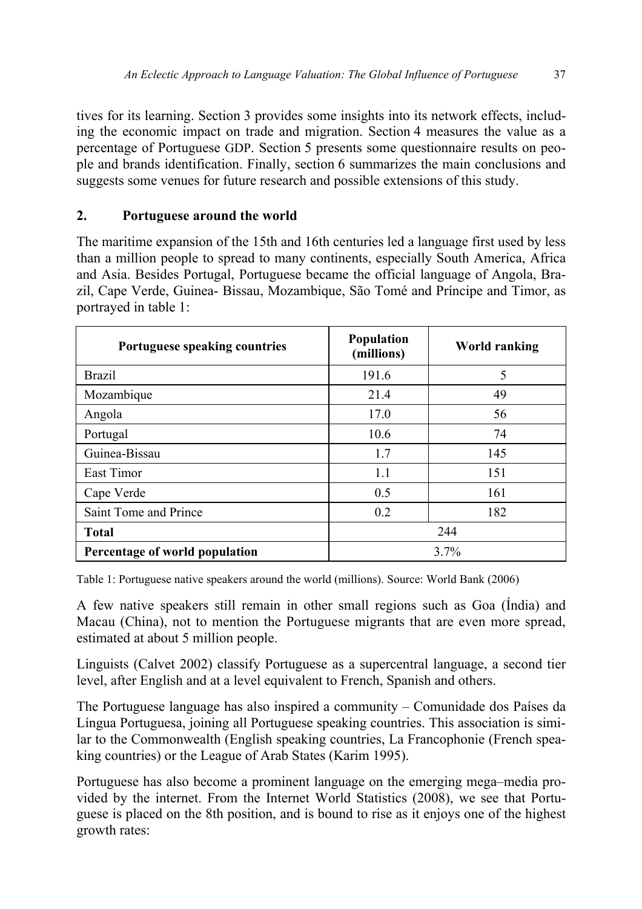tives for its learning. Section 3 provides some insights into its network effects, including the economic impact on trade and migration. Section 4 measures the value as a percentage of Portuguese GDP. Section 5 presents some questionnaire results on people and brands identification. Finally, section 6 summarizes the main conclusions and suggests some venues for future research and possible extensions of this study.

# **2. Portuguese around the world**

The maritime expansion of the 15th and 16th centuries led a language first used by less than a million people to spread to many continents, especially South America, Africa and Asia. Besides Portugal, Portuguese became the official language of Angola, Brazil, Cape Verde, Guinea- Bissau, Mozambique, São Tomé and Príncipe and Timor, as portrayed in table 1:

| Portuguese speaking countries  | Population<br>(millions) | <b>World ranking</b> |
|--------------------------------|--------------------------|----------------------|
| <b>Brazil</b>                  | 191.6                    | 5                    |
| Mozambique                     | 21.4                     | 49                   |
| Angola                         | 17.0                     | 56                   |
| Portugal                       | 10.6                     | 74                   |
| Guinea-Bissau                  | 1.7                      | 145                  |
| East Timor                     | 1.1                      | 151                  |
| Cape Verde                     | 0.5                      | 161                  |
| Saint Tome and Prince          | 0.2                      | 182                  |
| <b>Total</b>                   | 244                      |                      |
| Percentage of world population | 3.7%                     |                      |

Table 1: Portuguese native speakers around the world (millions). Source: World Bank (2006)

A few native speakers still remain in other small regions such as Goa (Índia) and Macau (China), not to mention the Portuguese migrants that are even more spread, estimated at about 5 million people.

Linguists (Calvet 2002) classify Portuguese as a supercentral language, a second tier level, after English and at a level equivalent to French, Spanish and others.

The Portuguese language has also inspired a community – Comunidade dos Países da Língua Portuguesa, joining all Portuguese speaking countries. This association is similar to the Commonwealth (English speaking countries, La Francophonie (French speaking countries) or the League of Arab States (Karim 1995).

Portuguese has also become a prominent language on the emerging mega–media provided by the internet. From the Internet World Statistics (2008), we see that Portuguese is placed on the 8th position, and is bound to rise as it enjoys one of the highest growth rates: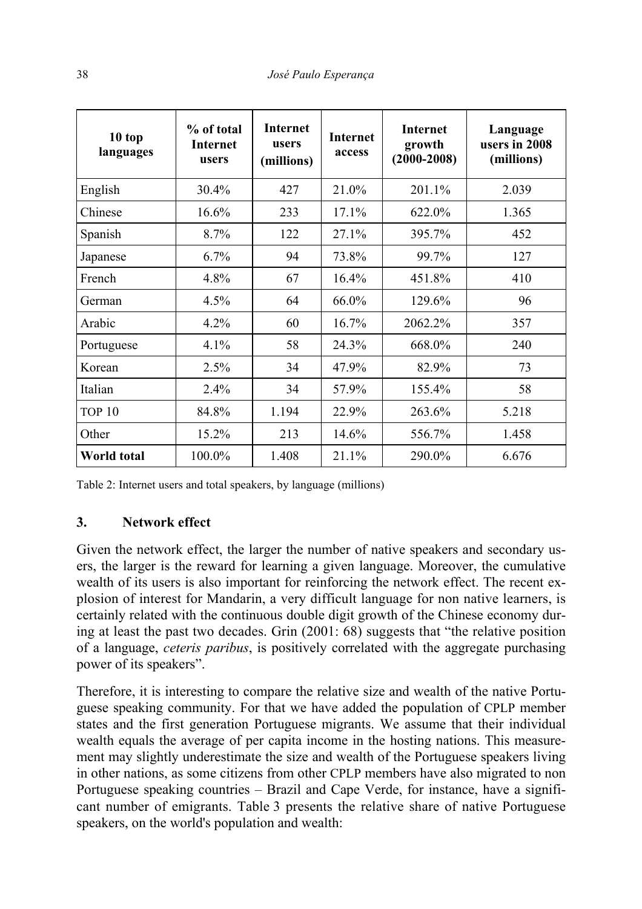| 10 top<br>languages | % of total<br>Internet<br>users | <b>Internet</b><br>users<br>(millions) | <b>Internet</b><br>access | <b>Internet</b><br>growth<br>$(2000 - 2008)$ | Language<br>users in 2008<br>(millions) |
|---------------------|---------------------------------|----------------------------------------|---------------------------|----------------------------------------------|-----------------------------------------|
| English             | 30.4%                           | 427                                    | 21.0%                     | 201.1%                                       | 2.039                                   |
| Chinese             | 16.6%                           | 233                                    | 17.1%                     | 622.0%                                       | 1.365                                   |
| Spanish             | 8.7%                            | 122                                    | 27.1%                     | 395.7%                                       | 452                                     |
| Japanese            | 6.7%                            | 94                                     | 73.8%                     | 99.7%                                        | 127                                     |
| French              | 4.8%                            | 67                                     | 16.4%                     | 451.8%                                       | 410                                     |
| German              | 4.5%                            | 64                                     | 66.0%                     | 129.6%                                       | 96                                      |
| Arabic              | 4.2%                            | 60                                     | 16.7%                     | 2062.2%                                      | 357                                     |
| Portuguese          | 4.1%                            | 58                                     | 24.3%                     | 668.0%                                       | 240                                     |
| Korean              | 2.5%                            | 34                                     | 47.9%                     | 82.9%                                        | 73                                      |
| Italian             | 2.4%                            | 34                                     | 57.9%                     | 155.4%                                       | 58                                      |
| TOP <sub>10</sub>   | 84.8%                           | 1.194                                  | 22.9%                     | 263.6%                                       | 5.218                                   |
| Other               | 15.2%                           | 213                                    | 14.6%                     | 556.7%                                       | 1.458                                   |
| <b>World total</b>  | 100.0%                          | 1.408                                  | 21.1%                     | 290.0%                                       | 6.676                                   |

Table 2: Internet users and total speakers, by language (millions)

#### **3. Network effect**

Given the network effect, the larger the number of native speakers and secondary users, the larger is the reward for learning a given language. Moreover, the cumulative wealth of its users is also important for reinforcing the network effect. The recent explosion of interest for Mandarin, a very difficult language for non native learners, is certainly related with the continuous double digit growth of the Chinese economy during at least the past two decades. Grin (2001: 68) suggests that "the relative position of a language, *ceteris paribus*, is positively correlated with the aggregate purchasing power of its speakers".

Therefore, it is interesting to compare the relative size and wealth of the native Portuguese speaking community. For that we have added the population of CPLP member states and the first generation Portuguese migrants. We assume that their individual wealth equals the average of per capita income in the hosting nations. This measurement may slightly underestimate the size and wealth of the Portuguese speakers living in other nations, as some citizens from other CPLP members have also migrated to non Portuguese speaking countries – Brazil and Cape Verde, for instance, have a significant number of emigrants. Table 3 presents the relative share of native Portuguese speakers, on the world's population and wealth: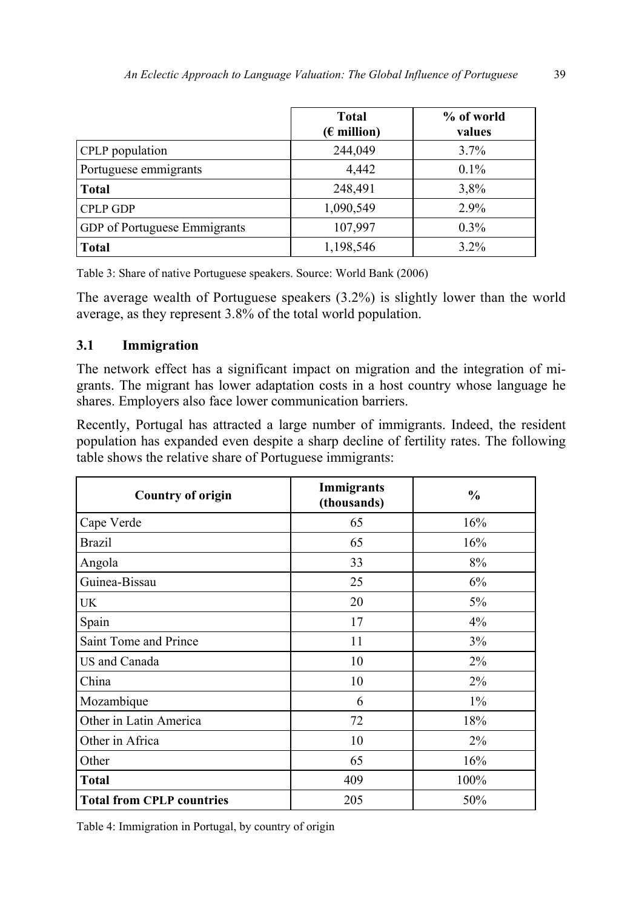|                                     | <b>Total</b><br>$(\epsilon$ million) | % of world<br>values |
|-------------------------------------|--------------------------------------|----------------------|
| CPLP population                     | 244,049                              | $3.7\%$              |
| Portuguese emmigrants               | 4,442                                | $0.1\%$              |
| <b>Total</b>                        | 248,491                              | 3,8%                 |
| <b>CPLP GDP</b>                     | 1,090,549                            | 2.9%                 |
| <b>GDP</b> of Portuguese Emmigrants | 107,997                              | $0.3\%$              |
| <b>Total</b>                        | 1,198,546                            | $3.2\%$              |

Table 3: Share of native Portuguese speakers. Source: World Bank (2006)

The average wealth of Portuguese speakers (3.2%) is slightly lower than the world average, as they represent 3.8% of the total world population.

### **3.1 Immigration**

The network effect has a significant impact on migration and the integration of migrants. The migrant has lower adaptation costs in a host country whose language he shares. Employers also face lower communication barriers.

Recently, Portugal has attracted a large number of immigrants. Indeed, the resident population has expanded even despite a sharp decline of fertility rates. The following table shows the relative share of Portuguese immigrants:

| <b>Country of origin</b>         | Immigrants<br>(thousands) | $\frac{0}{0}$ |
|----------------------------------|---------------------------|---------------|
| Cape Verde                       | 65                        | 16%           |
| <b>Brazil</b>                    | 65                        | 16%           |
| Angola                           | 33                        | 8%            |
| Guinea-Bissau                    | 25                        | 6%            |
| <b>UK</b>                        | 20                        | 5%            |
| Spain                            | 17                        | 4%            |
| Saint Tome and Prince            | 11                        | 3%            |
| US and Canada                    | 10                        | $2\%$         |
| China                            | 10                        | $2\%$         |
| Mozambique                       | 6                         | $1\%$         |
| Other in Latin America           | 72                        | 18%           |
| Other in Africa                  | 10                        | $2\%$         |
| Other                            | 65                        | 16%           |
| <b>Total</b>                     | 409                       | 100%          |
| <b>Total from CPLP countries</b> | 205                       | 50%           |

Table 4: Immigration in Portugal, by country of origin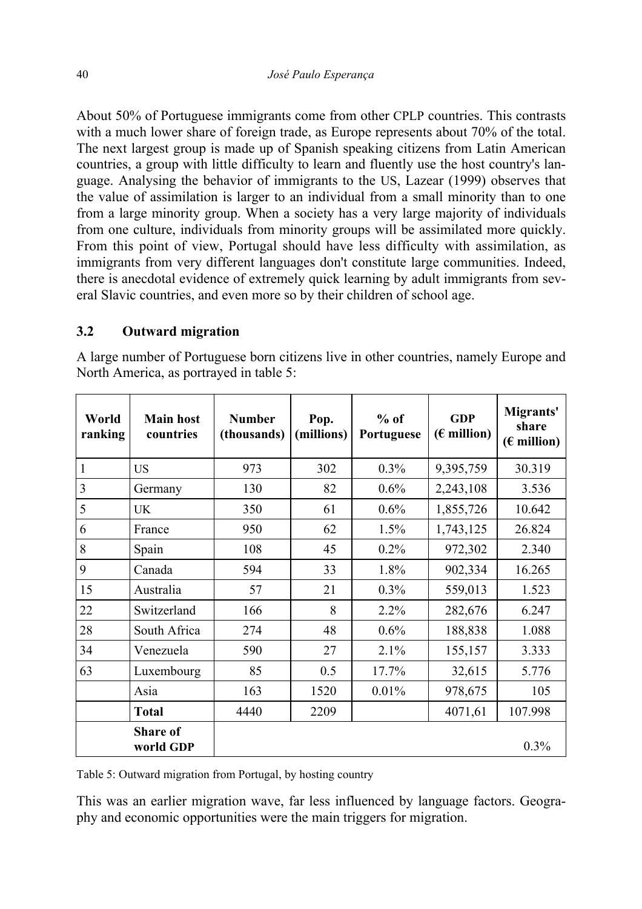About 50% of Portuguese immigrants come from other CPLP countries. This contrasts with a much lower share of foreign trade, as Europe represents about 70% of the total. The next largest group is made up of Spanish speaking citizens from Latin American countries, a group with little difficulty to learn and fluently use the host country's language. Analysing the behavior of immigrants to the US, Lazear (1999) observes that the value of assimilation is larger to an individual from a small minority than to one from a large minority group. When a society has a very large majority of individuals from one culture, individuals from minority groups will be assimilated more quickly. From this point of view, Portugal should have less difficulty with assimilation, as immigrants from very different languages don't constitute large communities. Indeed, there is anecdotal evidence of extremely quick learning by adult immigrants from several Slavic countries, and even more so by their children of school age.

# **3.2 Outward migration**

A large number of Portuguese born citizens live in other countries, namely Europe and North America, as portrayed in table 5:

| World<br>ranking | <b>Main host</b><br>countries | <b>Number</b><br>(thousands) | Pop.<br>(millions) | $%$ of<br>Portuguese | GDP<br>$(E$ million) | Migrants'<br>share<br>$(E$ million) |
|------------------|-------------------------------|------------------------------|--------------------|----------------------|----------------------|-------------------------------------|
| 1                | <b>US</b>                     | 973                          | 302                | $0.3\%$              | 9,395,759            | 30.319                              |
| 3                | Germany                       | 130                          | 82                 | 0.6%                 | 2,243,108            | 3.536                               |
| 5                | <b>UK</b>                     | 350                          | 61                 | 0.6%                 | 1,855,726            | 10.642                              |
| 6                | France                        | 950                          | 62                 | 1.5%                 | 1,743,125            | 26.824                              |
| 8                | Spain                         | 108                          | 45                 | 0.2%                 | 972,302              | 2.340                               |
| 9                | Canada                        | 594                          | 33                 | 1.8%                 | 902,334              | 16.265                              |
| 15               | Australia                     | 57                           | 21                 | 0.3%                 | 559,013              | 1.523                               |
| 22               | Switzerland                   | 166                          | 8                  | 2.2%                 | 282,676              | 6.247                               |
| 28               | South Africa                  | 274                          | 48                 | 0.6%                 | 188,838              | 1.088                               |
| 34               | Venezuela                     | 590                          | 27                 | 2.1%                 | 155,157              | 3.333                               |
| 63               | Luxembourg                    | 85                           | 0.5                | 17.7%                | 32,615               | 5.776                               |
|                  | Asia                          | 163                          | 1520               | 0.01%                | 978,675              | 105                                 |
|                  | <b>Total</b>                  | 4440                         | 2209               |                      | 4071,61              | 107.998                             |
|                  | <b>Share of</b><br>world GDP  |                              |                    |                      |                      | 0.3%                                |

Table 5: Outward migration from Portugal, by hosting country

This was an earlier migration wave, far less influenced by language factors. Geography and economic opportunities were the main triggers for migration.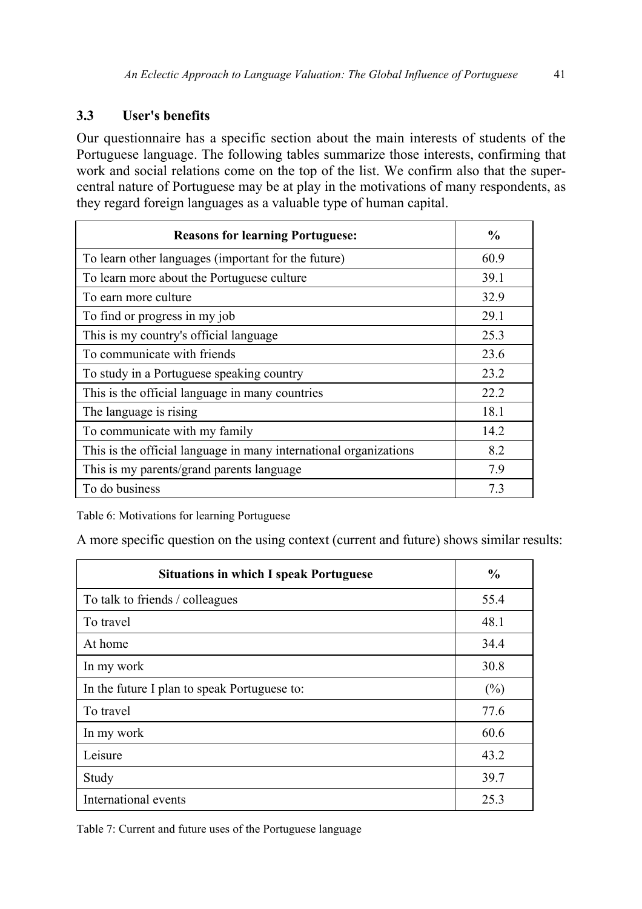# **3.3 User's benefits**

Our questionnaire has a specific section about the main interests of students of the Portuguese language. The following tables summarize those interests, confirming that work and social relations come on the top of the list. We confirm also that the supercentral nature of Portuguese may be at play in the motivations of many respondents, as they regard foreign languages as a valuable type of human capital.

| <b>Reasons for learning Portuguese:</b>                           | $\frac{6}{9}$ |
|-------------------------------------------------------------------|---------------|
| To learn other languages (important for the future)               | 60.9          |
| To learn more about the Portuguese culture                        | 39.1          |
| To earn more culture                                              | 32.9          |
| To find or progress in my job                                     | 29.1          |
| This is my country's official language                            | 25.3          |
| To communicate with friends                                       | 23.6          |
| To study in a Portuguese speaking country                         | 23.2          |
| This is the official language in many countries                   | 22.2          |
| The language is rising                                            | 18.1          |
| To communicate with my family                                     | 14.2          |
| This is the official language in many international organizations | 8.2           |
| This is my parents/grand parents language                         | 7.9           |
| To do business                                                    | 73            |

Table 6: Motivations for learning Portuguese

A more specific question on the using context (current and future) shows similar results:

| <b>Situations in which I speak Portuguese</b> | $\frac{6}{9}$ |
|-----------------------------------------------|---------------|
| To talk to friends / colleagues               | 55.4          |
| To travel                                     | 48.1          |
| At home                                       | 34.4          |
| In my work                                    | 30.8          |
| In the future I plan to speak Portuguese to:  | (%)           |
| To travel                                     | 77.6          |
| In my work                                    | 60.6          |
| Leisure                                       | 43.2          |
| Study                                         | 39.7          |
| International events                          | 25.3          |

Table 7: Current and future uses of the Portuguese language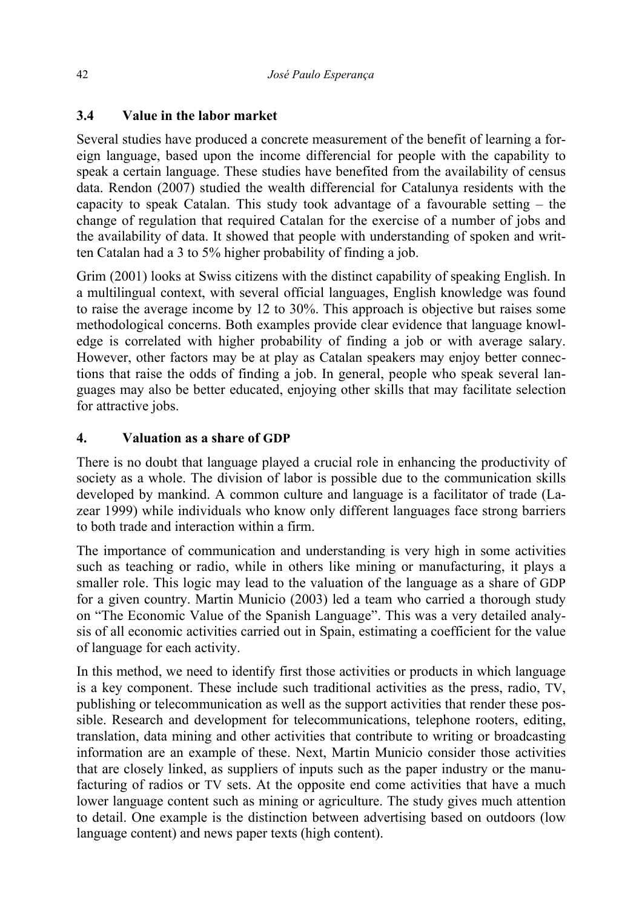# **3.4 Value in the labor market**

Several studies have produced a concrete measurement of the benefit of learning a foreign language, based upon the income differencial for people with the capability to speak a certain language. These studies have benefited from the availability of census data. Rendon (2007) studied the wealth differencial for Catalunya residents with the capacity to speak Catalan. This study took advantage of a favourable setting – the change of regulation that required Catalan for the exercise of a number of jobs and the availability of data. It showed that people with understanding of spoken and written Catalan had a 3 to 5% higher probability of finding a job.

Grim (2001) looks at Swiss citizens with the distinct capability of speaking English. In a multilingual context, with several official languages, English knowledge was found to raise the average income by 12 to 30%. This approach is objective but raises some methodological concerns. Both examples provide clear evidence that language knowledge is correlated with higher probability of finding a job or with average salary. However, other factors may be at play as Catalan speakers may enjoy better connections that raise the odds of finding a job. In general, people who speak several languages may also be better educated, enjoying other skills that may facilitate selection for attractive jobs.

# **4. Valuation as a share of GDP**

There is no doubt that language played a crucial role in enhancing the productivity of society as a whole. The division of labor is possible due to the communication skills developed by mankind. A common culture and language is a facilitator of trade (Lazear 1999) while individuals who know only different languages face strong barriers to both trade and interaction within a firm.

The importance of communication and understanding is very high in some activities such as teaching or radio, while in others like mining or manufacturing, it plays a smaller role. This logic may lead to the valuation of the language as a share of GDP for a given country. Martin Municio (2003) led a team who carried a thorough study on "The Economic Value of the Spanish Language". This was a very detailed analysis of all economic activities carried out in Spain, estimating a coefficient for the value of language for each activity.

In this method, we need to identify first those activities or products in which language is a key component. These include such traditional activities as the press, radio, TV, publishing or telecommunication as well as the support activities that render these possible. Research and development for telecommunications, telephone rooters, editing, translation, data mining and other activities that contribute to writing or broadcasting information are an example of these. Next, Martin Municio consider those activities that are closely linked, as suppliers of inputs such as the paper industry or the manufacturing of radios or TV sets. At the opposite end come activities that have a much lower language content such as mining or agriculture. The study gives much attention to detail. One example is the distinction between advertising based on outdoors (low language content) and news paper texts (high content).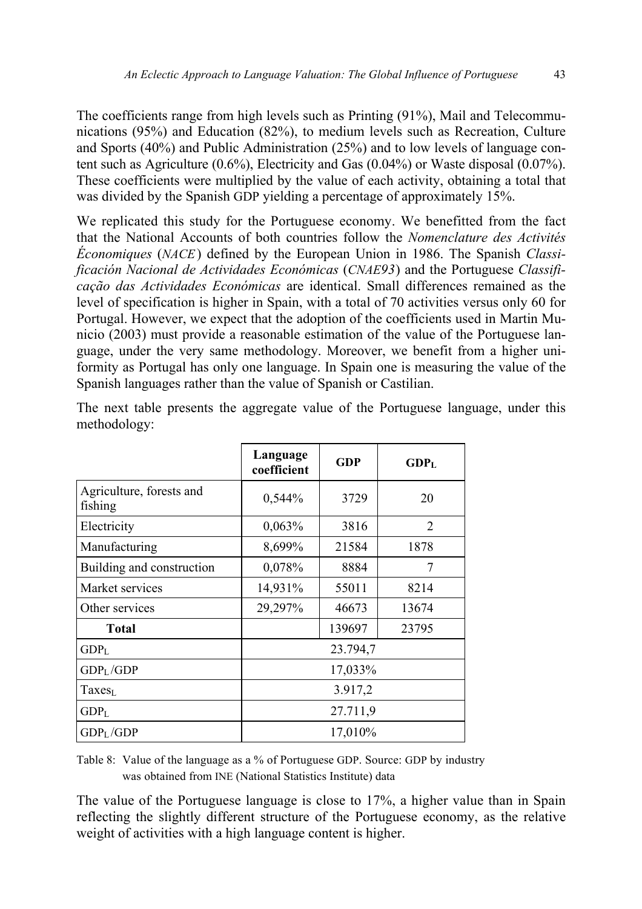The coefficients range from high levels such as Printing (91%), Mail and Telecommunications (95%) and Education (82%), to medium levels such as Recreation, Culture and Sports (40%) and Public Administration (25%) and to low levels of language content such as Agriculture (0.6%), Electricity and Gas (0.04%) or Waste disposal (0.07%). These coefficients were multiplied by the value of each activity, obtaining a total that was divided by the Spanish GDP yielding a percentage of approximately 15%.

We replicated this study for the Portuguese economy. We benefitted from the fact that the National Accounts of both countries follow the *Nomenclature des Activités Économiques* (*NACE*) defined by the European Union in 1986. The Spanish *Classificación Nacional de Actividades Económicas* (*CNAE93*) and the Portuguese *Classificação das Actividades Económicas* are identical. Small differences remained as the level of specification is higher in Spain, with a total of 70 activities versus only 60 for Portugal. However, we expect that the adoption of the coefficients used in Martin Municio (2003) must provide a reasonable estimation of the value of the Portuguese language, under the very same methodology. Moreover, we benefit from a higher uniformity as Portugal has only one language. In Spain one is measuring the value of the Spanish languages rather than the value of Spanish or Castilian.

|                                     | Language<br>coefficient | <b>GDP</b> | $GDP_L$        |  |
|-------------------------------------|-------------------------|------------|----------------|--|
| Agriculture, forests and<br>fishing | 0,544%                  | 3729       | 20             |  |
| Electricity                         | 0,063%                  | 3816       | $\overline{2}$ |  |
| Manufacturing                       | 8,699%                  | 21584      | 1878           |  |
| Building and construction           | 0,078%                  | 8884       | 7              |  |
| Market services                     | 14,931%                 | 55011      | 8214           |  |
| Other services                      | 29,297%                 | 46673      | 13674          |  |
| <b>Total</b>                        |                         | 139697     | 23795          |  |
| GDP <sub>L</sub>                    |                         | 23.794,7   |                |  |
| GDP <sub>L</sub> /GDP               |                         | 17,033%    |                |  |
| Taxes <sub>L</sub>                  | 3.917,2                 |            |                |  |
| GDP <sub>L</sub>                    | 27.711,9                |            |                |  |
| GDP <sub>L</sub> /GDP               | 17,010%                 |            |                |  |

The next table presents the aggregate value of the Portuguese language, under this methodology:

Table 8: Value of the language as a % of Portuguese GDP. Source: GDP by industry was obtained from INE (National Statistics Institute) data

The value of the Portuguese language is close to 17%, a higher value than in Spain reflecting the slightly different structure of the Portuguese economy, as the relative weight of activities with a high language content is higher.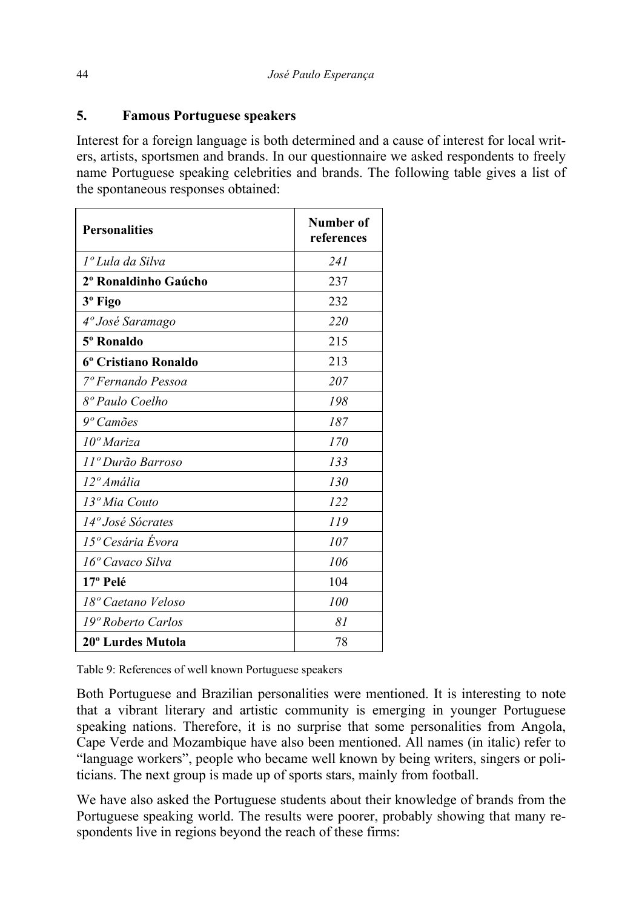### **5. Famous Portuguese speakers**

Interest for a foreign language is both determined and a cause of interest for local writers, artists, sportsmen and brands. In our questionnaire we asked respondents to freely name Portuguese speaking celebrities and brands. The following table gives a list of the spontaneous responses obtained:

| <b>Personalities</b>           | <b>Number of</b><br>references |
|--------------------------------|--------------------------------|
| 1 <sup>°</sup> Lula da Silva   | 241                            |
| 2º Ronaldinho Gaúcho           | 237                            |
| 3 <sup>°</sup> Figo            | 232                            |
| 4 <sup>°</sup> José Saramago   | <i>220</i>                     |
| 5 <sup>°</sup> Ronaldo         | 215                            |
| 6º Cristiano Ronaldo           | 213                            |
| <sup>7</sup> ° Fernando Pessoa | 207                            |
| 8º Paulo Coelho                | 198                            |
| $9°$ Camões                    | 187                            |
| $10^{\circ}$ Mariza            | 170                            |
| 11º Durão Barroso              | 133                            |
| 12 <sup>°</sup> Amália         | 130                            |
| 13º Mia Couto                  | 122                            |
| 14 <sup>°</sup> José Sócrates  | 119                            |
| 15 <sup>°</sup> Cesária Évora  | 107                            |
| 16 <sup>°</sup> Cavaco Silva   | 106                            |
| 17º Pelé                       | 104                            |
| 18º Caetano Veloso             | 100                            |
| 19º Roberto Carlos             | 81                             |
| 20° Lurdes Mutola              | 78                             |

Table 9: References of well known Portuguese speakers

Both Portuguese and Brazilian personalities were mentioned. It is interesting to note that a vibrant literary and artistic community is emerging in younger Portuguese speaking nations. Therefore, it is no surprise that some personalities from Angola, Cape Verde and Mozambique have also been mentioned. All names (in italic) refer to "language workers", people who became well known by being writers, singers or politicians. The next group is made up of sports stars, mainly from football.

We have also asked the Portuguese students about their knowledge of brands from the Portuguese speaking world. The results were poorer, probably showing that many respondents live in regions beyond the reach of these firms: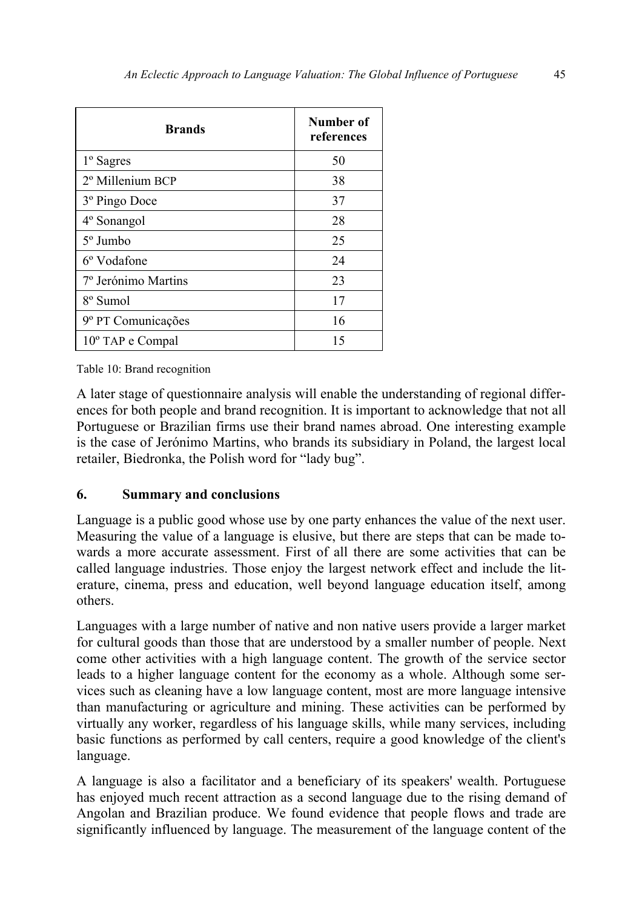| <b>Brands</b>             | Number of<br>references |
|---------------------------|-------------------------|
| 1 <sup>°</sup> Sagres     | 50                      |
| 2º Millenium BCP          | 38                      |
| 3 <sup>°</sup> Pingo Doce | 37                      |
| 4° Sonangol               | 28                      |
| $5^{\circ}$ Jumbo         | 25                      |
| 6 <sup>°</sup> Vodafone   | 24                      |
| 7º Jerónimo Martins       | 23                      |
| 8 <sup>°</sup> Sumol      | 17                      |
| 9º PT Comunicações        | 16                      |
| 10° TAP e Compal          | 15                      |

Table 10: Brand recognition

A later stage of questionnaire analysis will enable the understanding of regional differences for both people and brand recognition. It is important to acknowledge that not all Portuguese or Brazilian firms use their brand names abroad. One interesting example is the case of Jerónimo Martins, who brands its subsidiary in Poland, the largest local retailer, Biedronka, the Polish word for "lady bug".

### **6. Summary and conclusions**

Language is a public good whose use by one party enhances the value of the next user. Measuring the value of a language is elusive, but there are steps that can be made towards a more accurate assessment. First of all there are some activities that can be called language industries. Those enjoy the largest network effect and include the literature, cinema, press and education, well beyond language education itself, among others.

Languages with a large number of native and non native users provide a larger market for cultural goods than those that are understood by a smaller number of people. Next come other activities with a high language content. The growth of the service sector leads to a higher language content for the economy as a whole. Although some services such as cleaning have a low language content, most are more language intensive than manufacturing or agriculture and mining. These activities can be performed by virtually any worker, regardless of his language skills, while many services, including basic functions as performed by call centers, require a good knowledge of the client's language.

A language is also a facilitator and a beneficiary of its speakers' wealth. Portuguese has enjoyed much recent attraction as a second language due to the rising demand of Angolan and Brazilian produce. We found evidence that people flows and trade are significantly influenced by language. The measurement of the language content of the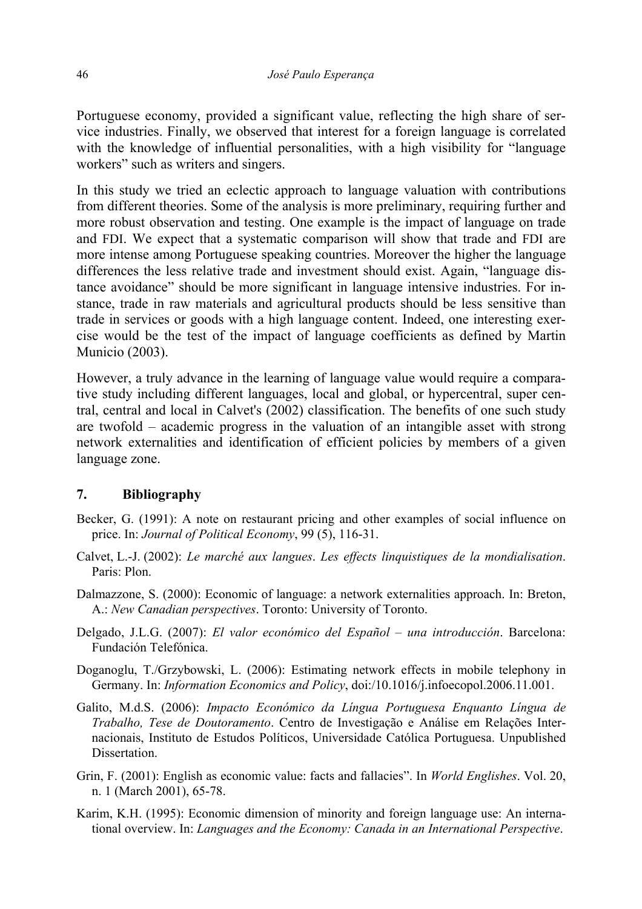Portuguese economy, provided a significant value, reflecting the high share of service industries. Finally, we observed that interest for a foreign language is correlated with the knowledge of influential personalities, with a high visibility for "language" workers" such as writers and singers.

In this study we tried an eclectic approach to language valuation with contributions from different theories. Some of the analysis is more preliminary, requiring further and more robust observation and testing. One example is the impact of language on trade and FDI. We expect that a systematic comparison will show that trade and FDI are more intense among Portuguese speaking countries. Moreover the higher the language differences the less relative trade and investment should exist. Again, "language distance avoidance" should be more significant in language intensive industries. For instance, trade in raw materials and agricultural products should be less sensitive than trade in services or goods with a high language content. Indeed, one interesting exercise would be the test of the impact of language coefficients as defined by Martin Municio (2003).

However, a truly advance in the learning of language value would require a comparative study including different languages, local and global, or hypercentral, super central, central and local in Calvet's (2002) classification. The benefits of one such study are twofold – academic progress in the valuation of an intangible asset with strong network externalities and identification of efficient policies by members of a given language zone.

### **7. Bibliography**

- Becker, G. (1991): A note on restaurant pricing and other examples of social influence on price. In: *Journal of Political Economy*, 99 (5), 116-31.
- Calvet, L.-J. (2002): *Le marché aux langues*. *Les effects linquistiques de la mondialisation*. Paris: Plon.
- Dalmazzone, S. (2000): Economic of language: a network externalities approach. In: Breton, A.: *New Canadian perspectives*. Toronto: University of Toronto.
- Delgado, J.L.G. (2007): *El valor económico del Español una introducción*. Barcelona: Fundación Telefónica.
- Doganoglu, T./Grzybowski, L. (2006): Estimating network effects in mobile telephony in Germany. In: *Information Economics and Policy*, doi:/10.1016/j.infoecopol.2006.11.001.
- Galito, M.d.S. (2006): *Impacto Económico da Língua Portuguesa Enquanto Língua de Trabalho, Tese de Doutoramento*. Centro de Investigação e Análise em Relações Internacionais, Instituto de Estudos Políticos, Universidade Católica Portuguesa. Unpublished Dissertation.
- Grin, F. (2001): English as economic value: facts and fallacies". In *World Englishes*. Vol. 20, n. 1 (March 2001), 65-78.
- Karim, K.H. (1995): Economic dimension of minority and foreign language use: An international overview. In: *Languages and the Economy: Canada in an International Perspective*.